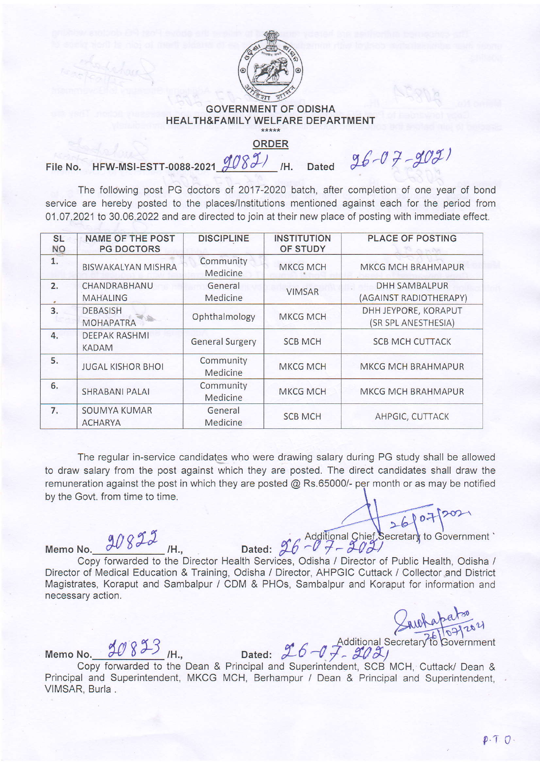

## GOVERNMENT OF ODISHA HEALTH&FAMILY WELFARE DEPARTMENT

ORDER

File No. HFW-MSI-ESTT-0088-2021  $908\overline{21}$  /H. Dated  $96-07-909$ 

The following post PG doctors of 2017-2020 batch, after completion of one year of bond service are hereby posted to the places/lnstitutions mentioned against each for the period from 01 .07 .2021 to 30.06.2022 and are directed to join at their new place of posting with immediate effect.

| <b>SL</b><br><b>NO</b> | <b>NAME OF THE POST</b><br><b>PG DOCTORS</b> | <b>DISCIPLINE</b>      | <b>INSTITUTION</b><br>OF STUDY | <b>PLACE OF POSTING</b><br>No. a se for        |
|------------------------|----------------------------------------------|------------------------|--------------------------------|------------------------------------------------|
| 1.                     | <b>BISWAKALYAN MISHRA</b>                    | Community<br>Medicine  | <b>MKCG MCH</b>                | <b>MKCG MCH BRAHMAPUR</b>                      |
| 2.                     | CHANDRABHANU<br><b>MAHALING</b>              | General<br>Medicine    | <b>VIMSAR</b>                  | <b>DHH SAMBALPUR</b><br>(AGAINST RADIOTHERAPY) |
| 3.                     | <b>DEBASISH</b><br><b>MOHAPATRA</b>          | Ophthalmology          | <b>MKCG MCH</b>                | DHH JEYPORE, KORAPUT<br>(SR SPL ANESTHESIA)    |
| 4.                     | <b>DEEPAK RASHMI</b><br><b>KADAM</b>         | <b>General Surgery</b> | <b>SCB MCH</b>                 | <b>SCB MCH CUTTACK</b>                         |
| 5.                     | <b>JUGAL KISHOR BHOI</b>                     | Community<br>Medicine  | <b>MKCG MCH</b>                | <b>MKCG MCH BRAHMAPUR</b>                      |
| 6.                     | SHRABANI PALAI                               | Community<br>Medicine  | <b>MKCG MCH</b>                | <b>MKCG MCH BRAHMAPUR</b>                      |
| 7.                     | SOUMYA KUMAR<br><b>ACHARYA</b>               | General<br>Medicine    | <b>SCB MCH</b>                 | AHPGIC, CUTTACK                                |

The regular in-service candidates who were drawing salary during PG study shall be allowed to draw salary from the post against which they are posted. The direct candidates shall draw the remuneration against the post in which they are posted  $@$  Rs.65000/- per month or as may be notified bv the Govt. from time to time.

Memo No.

 $\alpha$  Additional Chief Secretary to Government of  $\alpha$ , Additional Chief Secretary to Government  $\frac{90822}{1}$  /H., Dated:  $26 - 7 - 202$ 

Ccpy forwarded to the Director Health Services, Odisha / Director of Public Health, Odisha / Director of Medical Education & Training, Odisha / Director, AHPGIC Cuttack / Collector and District Magistrates, Koraput and Sambalpur / CDM & PHOS, Sambalpur and Koraput for information and necessary action.

VIMSAR, Burla .

Memo No. 30833<sub>/H.,</sub> Copy forwarded to the Dean & Principal and Superintendent Principal and Superintendent, MKCG MCH, Berhampur / Dean & Principal and Superintendent.  $\frac{\partial \mathcal{O}}{\partial \mathcal{S}} \frac{\partial \mathcal{S}}{\partial \mathcal{S}}$  /H, Dated:  $\frac{\partial \mathcal{L}}{\partial \mathcal{S}} \frac{\partial \mathcal{L}}{\partial \mathcal{S}}$  Additional Secretary to Government<br>orwarded to the Dean & Principal and Superintendent, SCB MCH, Cuttack/ Dean &